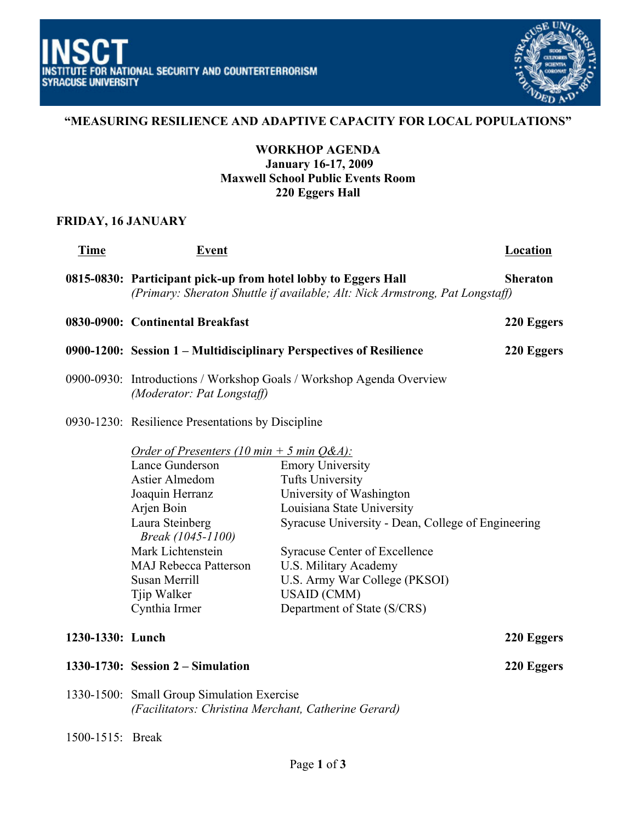

# **"MEASURING RESILIENCE AND ADAPTIVE CAPACITY FOR LOCAL POPULATIONS"**

### **WORKHOP AGENDA January 16-17, 2009 Maxwell School Public Events Room 220 Eggers Hall**

#### **FRIDAY, 16 JANUARY**

| <b>Time</b>      | <b>Event</b>                                                                                                                                                                                                                                                             |                                                                                                                                                                                                                                                                                                                           | Location   |
|------------------|--------------------------------------------------------------------------------------------------------------------------------------------------------------------------------------------------------------------------------------------------------------------------|---------------------------------------------------------------------------------------------------------------------------------------------------------------------------------------------------------------------------------------------------------------------------------------------------------------------------|------------|
|                  | 0815-0830: Participant pick-up from hotel lobby to Eggers Hall<br><b>Sheraton</b><br>(Primary: Sheraton Shuttle if available; Alt: Nick Armstrong, Pat Longstaff)                                                                                                        |                                                                                                                                                                                                                                                                                                                           |            |
|                  | 0830-0900: Continental Breakfast                                                                                                                                                                                                                                         |                                                                                                                                                                                                                                                                                                                           | 220 Eggers |
|                  | 0900-1200: Session 1 - Multidisciplinary Perspectives of Resilience                                                                                                                                                                                                      |                                                                                                                                                                                                                                                                                                                           | 220 Eggers |
|                  | 0900-0930: Introductions / Workshop Goals / Workshop Agenda Overview<br>(Moderator: Pat Longstaff)                                                                                                                                                                       |                                                                                                                                                                                                                                                                                                                           |            |
|                  | 0930-1230: Resilience Presentations by Discipline                                                                                                                                                                                                                        |                                                                                                                                                                                                                                                                                                                           |            |
|                  | Order of Presenters (10 min + 5 min $Q\&A$ ):<br>Lance Gunderson<br><b>Astier Almedom</b><br>Joaquin Herranz<br>Arjen Boin<br>Laura Steinberg<br>Break (1045-1100)<br>Mark Lichtenstein<br><b>MAJ Rebecca Patterson</b><br>Susan Merrill<br>Tjip Walker<br>Cynthia Irmer | <b>Emory University</b><br><b>Tufts University</b><br>University of Washington<br>Louisiana State University<br>Syracuse University - Dean, College of Engineering<br><b>Syracuse Center of Excellence</b><br>U.S. Military Academy<br>U.S. Army War College (PKSOI)<br><b>USAID</b> (CMM)<br>Department of State (S/CRS) |            |
| 1230-1330: Lunch |                                                                                                                                                                                                                                                                          |                                                                                                                                                                                                                                                                                                                           | 220 Eggers |
|                  | $1330-1730$ : Session $2$ – Simulation                                                                                                                                                                                                                                   |                                                                                                                                                                                                                                                                                                                           | 220 Eggers |
|                  | 1330-1500: Small Group Simulation Exercise<br>(Facilitators: Christina Merchant, Catherine Gerard)                                                                                                                                                                       |                                                                                                                                                                                                                                                                                                                           |            |
| 1500-1515: Break |                                                                                                                                                                                                                                                                          |                                                                                                                                                                                                                                                                                                                           |            |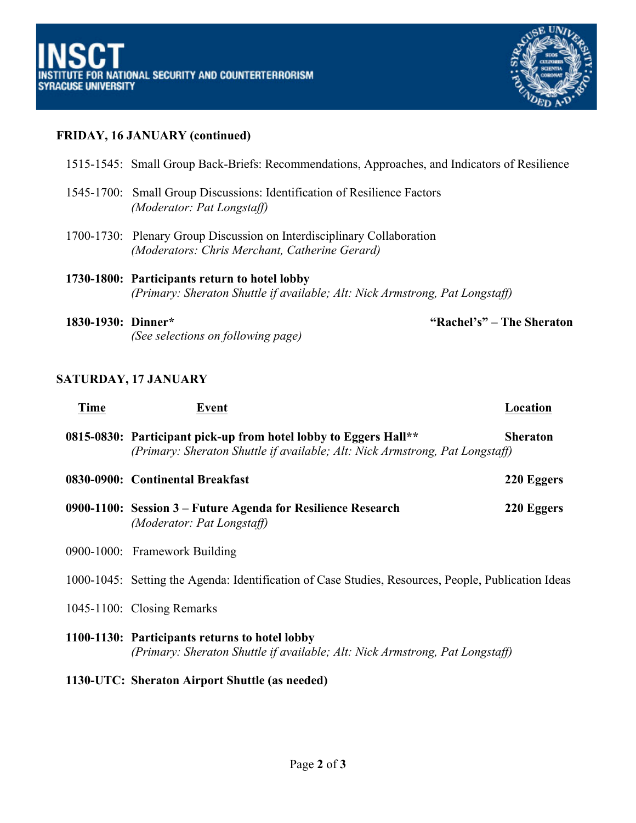

# **FRIDAY, 16 JANUARY (continued)**

|                    | 1515-1545: Small Group Back-Briefs: Recommendations, Approaches, and Indicators of Resilience                                 |
|--------------------|-------------------------------------------------------------------------------------------------------------------------------|
|                    | 1545-1700: Small Group Discussions: Identification of Resilience Factors<br>(Moderator: Pat Longstaff)                        |
|                    | 1700-1730: Plenary Group Discussion on Interdisciplinary Collaboration<br>(Moderators: Chris Merchant, Catherine Gerard)      |
|                    | 1730-1800: Participants return to hotel lobby<br>(Primary: Sheraton Shuttle if available; Alt: Nick Armstrong, Pat Longstaff) |
| 1830-1930: Dinner* | "Rachel's" – The Sheraton<br>(See selections on following page)                                                               |

# **SATURDAY, 17 JANUARY**

| <b>Time</b> | Event                                                                                                                                            | Location        |
|-------------|--------------------------------------------------------------------------------------------------------------------------------------------------|-----------------|
|             | 0815-0830: Participant pick-up from hotel lobby to Eggers Hall**<br>(Primary: Sheraton Shuttle if available; Alt: Nick Armstrong, Pat Longstaff) | <b>Sheraton</b> |
|             | 0830-0900: Continental Breakfast                                                                                                                 | 220 Eggers      |
|             | 0900-1100: Session 3 – Future Agenda for Resilience Research<br>(Moderator: Pat Longstaff)                                                       | 220 Eggers      |
|             | 0900-1000: Framework Building                                                                                                                    |                 |
|             | 1000-1045: Setting the Agenda: Identification of Case Studies, Resources, People, Publication Ideas                                              |                 |
|             | 1045-1100: Closing Remarks                                                                                                                       |                 |
|             | 1100-1130: Participants returns to hotel lobby<br>(Primary: Sheraton Shuttle if available; Alt: Nick Armstrong, Pat Longstaff)                   |                 |
|             | 1130-UTC: Sheraton Airport Shuttle (as needed)                                                                                                   |                 |